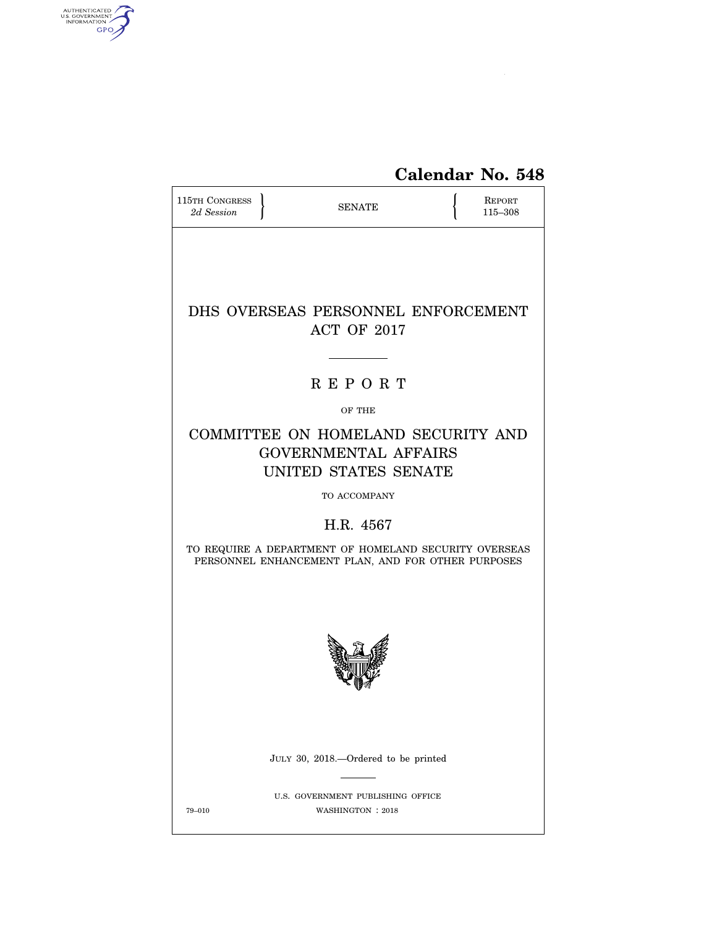

| 115TH CONGRESS<br>2d Session                                                                                | <b>SENATE</b>                                                                             |  | REPORT<br>115-308 |  |
|-------------------------------------------------------------------------------------------------------------|-------------------------------------------------------------------------------------------|--|-------------------|--|
|                                                                                                             |                                                                                           |  |                   |  |
|                                                                                                             | DHS OVERSEAS PERSONNEL ENFORCEMENT<br>ACT OF 2017                                         |  |                   |  |
|                                                                                                             | <b>REPORT</b>                                                                             |  |                   |  |
|                                                                                                             | OF THE                                                                                    |  |                   |  |
|                                                                                                             | COMMITTEE ON HOMELAND SECURITY AND<br><b>GOVERNMENTAL AFFAIRS</b><br>UNITED STATES SENATE |  |                   |  |
|                                                                                                             | TO ACCOMPANY                                                                              |  |                   |  |
|                                                                                                             | H.R. 4567                                                                                 |  |                   |  |
| TO REQUIRE A DEPARTMENT OF HOMELAND SECURITY OVERSEAS<br>PERSONNEL ENHANCEMENT PLAN, AND FOR OTHER PURPOSES |                                                                                           |  |                   |  |
|                                                                                                             |                                                                                           |  |                   |  |
|                                                                                                             | JULY 30, 2018.—Ordered to be printed                                                      |  |                   |  |
| 79-010                                                                                                      | U.S. GOVERNMENT PUBLISHING OFFICE<br>WASHINGTON : 2018                                    |  |                   |  |

AUTHENTICATED<br>U.S. GOVERNMENT<br>INFORMATION<br>GPO

 $\widehat{\blacktriangle}$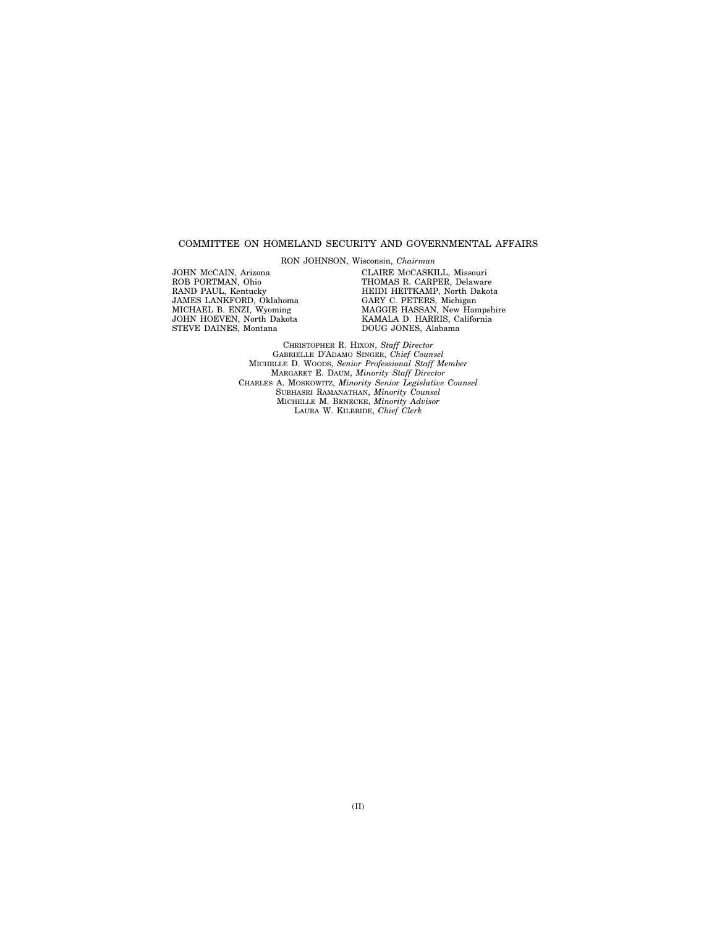### COMMITTEE ON HOMELAND SECURITY AND GOVERNMENTAL AFFAIRS

RON JOHNSON, Wisconsin, *Chairman* 

JOHN MCCAIN, Arizona ROB PORTMAN, Ohio RAND PAUL, Kentucky JAMES LANKFORD, Oklahoma MICHAEL B. ENZI, Wyoming JOHN HOEVEN, North Dakota STEVE DAINES, Montana

CLAIRE MCCASKILL, Missouri THOMAS R. CARPER, Delaware HEIDI HEITKAMP, North Dakota GARY C. PETERS, Michigan MAGGIE HASSAN, New Hampshire KAMALA D. HARRIS, California DOUG JONES, Alabama

CHRISTOPHER R. HIXON, *Staff Director*  GABRIELLE D'ADAMO SINGER, *Chief Counsel*  MICHELLE D. WOODS, *Senior Professional Staff Member*  MARGARET E. DAUM, *Minority Staff Director*  CHARLES A. MOSKOWITZ, *Minority Senior Legislative Counsel*  SUBHASRI RAMANATHAN, *Minority Counsel*  MICHELLE M. BENECKE, *Minority Advisor*  LAURA W. KILBRIDE, *Chief Clerk*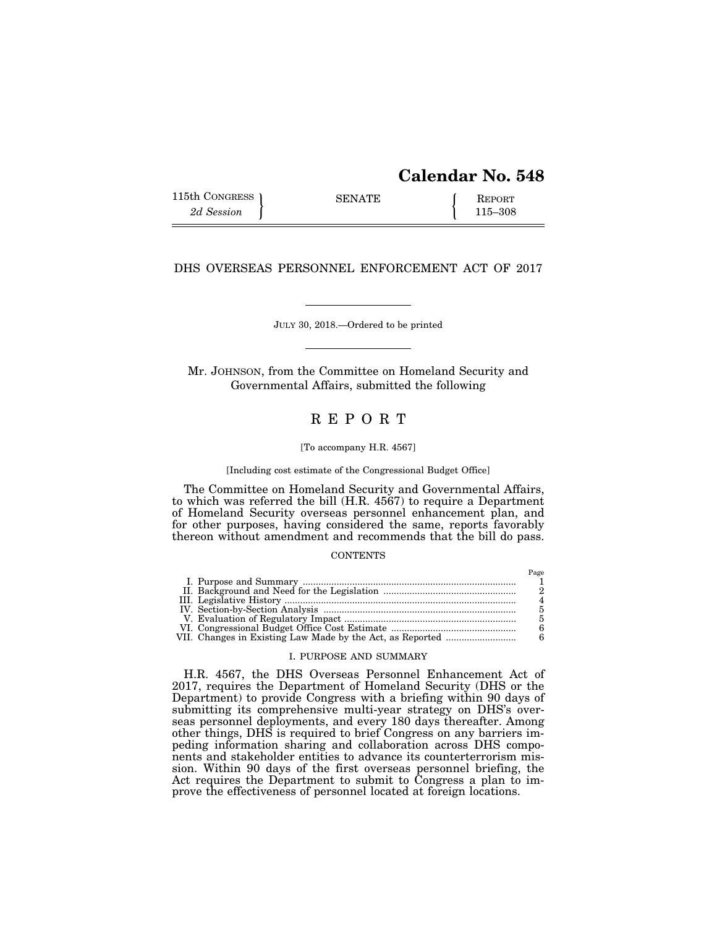# **Calendar No. 548**

| 115th CONGRESS 1 | <b>SENATE</b> | <b>REPORT</b> |
|------------------|---------------|---------------|
| 2d Session       |               | 115–308       |

## DHS OVERSEAS PERSONNEL ENFORCEMENT ACT OF 2017

## JULY 30, 2018.—Ordered to be printed

Mr. JOHNSON, from the Committee on Homeland Security and Governmental Affairs, submitted the following

## R E P O R T

#### [To accompany H.R. 4567]

#### [Including cost estimate of the Congressional Budget Office]

The Committee on Homeland Security and Governmental Affairs, to which was referred the bill (H.R. 4567) to require a Department of Homeland Security overseas personnel enhancement plan, and for other purposes, having considered the same, reports favorably thereon without amendment and recommends that the bill do pass.

## **CONTENTS**

## I. PURPOSE AND SUMMARY

H.R. 4567, the DHS Overseas Personnel Enhancement Act of 2017, requires the Department of Homeland Security (DHS or the Department) to provide Congress with a briefing within 90 days of submitting its comprehensive multi-year strategy on DHS's overseas personnel deployments, and every 180 days thereafter. Among other things, DHS is required to brief Congress on any barriers impeding information sharing and collaboration across DHS components and stakeholder entities to advance its counterterrorism mission. Within 90 days of the first overseas personnel briefing, the Act requires the Department to submit to Congress a plan to improve the effectiveness of personnel located at foreign locations.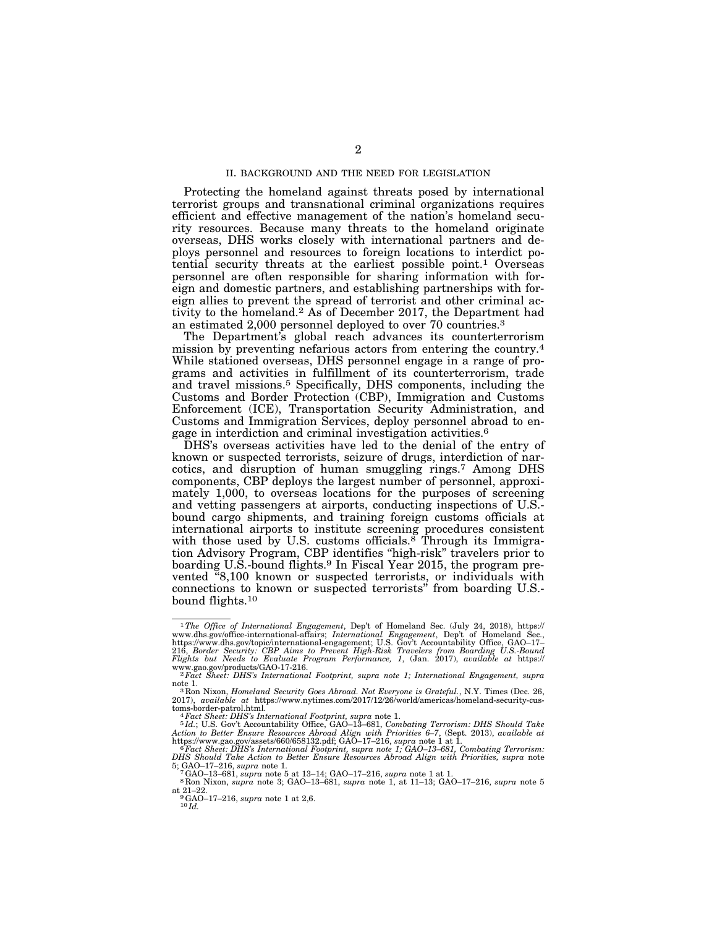### II. BACKGROUND AND THE NEED FOR LEGISLATION

Protecting the homeland against threats posed by international terrorist groups and transnational criminal organizations requires efficient and effective management of the nation's homeland security resources. Because many threats to the homeland originate overseas, DHS works closely with international partners and deploys personnel and resources to foreign locations to interdict potential security threats at the earliest possible point.1 Overseas personnel are often responsible for sharing information with foreign and domestic partners, and establishing partnerships with foreign allies to prevent the spread of terrorist and other criminal activity to the homeland.2 As of December 2017, the Department had an estimated 2,000 personnel deployed to over 70 countries.3

The Department's global reach advances its counterterrorism mission by preventing nefarious actors from entering the country.4 While stationed overseas, DHS personnel engage in a range of programs and activities in fulfillment of its counterterrorism, trade and travel missions.5 Specifically, DHS components, including the Customs and Border Protection (CBP), Immigration and Customs Enforcement (ICE), Transportation Security Administration, and Customs and Immigration Services, deploy personnel abroad to engage in interdiction and criminal investigation activities.6

DHS's overseas activities have led to the denial of the entry of known or suspected terrorists, seizure of drugs, interdiction of narcotics, and disruption of human smuggling rings.7 Among DHS components, CBP deploys the largest number of personnel, approximately 1,000, to overseas locations for the purposes of screening and vetting passengers at airports, conducting inspections of U.S. bound cargo shipments, and training foreign customs officials at international airports to institute screening procedures consistent with those used by U.S. customs officials.<sup>8</sup> Through its Immigration Advisory Program, CBP identifies "high-risk" travelers prior to boarding U.S.-bound flights.9 In Fiscal Year 2015, the program prevented ''8,100 known or suspected terrorists, or individuals with connections to known or suspected terrorists'' from boarding U.S. bound flights.10

toms-border-patrol.html."<br>"Fact Sheet: DHS's International Footprint, supra note 1.<br>"Fld.; U.S. Gov't Accountability Office, GAO–13–681, Combating Terrorism: DHS Should Take<br>Action to Better Ensure Resources Abroad Align w

https://www.gao.gov/assets/660/658132.pdf; GAO–17–216, supra note 1 at 1.<br><sup>6 F</sup>act Sheet: DHS's International Footprint, supra note 1; GAO–13–681, Combating Terrorism:<br>DHS Should Take Action to Better Ensure Resources Abro

5; GAO-17-216, supra note 1.<br>
<sup>7</sup>GAO-17-216, supra note 5 at 13-14; GAO-17-216, supra note 1 at 1.<br>
<sup>8</sup>Ron Nixon, *supra* note 3; GAO-13-681, *supra* note 1, at 11-13; GAO-17-216, *supra* note 5 at 21–22. 9GAO–17–216, *supra* note 1 at 2,6. 10 *Id.* 

<sup>1</sup>*The Office of International Engagement*, Dep't of Homeland Sec. (July 24, 2018), https:// www.dhs.gov/office-international-affairs; *International Engagement*, Dep't of Homeland Sec., https://www.dhs.gov/topic/international-engagement; U.S. Gov't Accountability Office, GAO–17–<br>216, *Border Security: CBP Aims to Prevent High-Risk Travelers from Boarding U.S.-Bound.*<br>Flights but Needs to Evaluate Program

www.gao.gov/products/GAO-17-216.<br><sup>2</sup>*Fact Sheet: DHS's International Footprint, supra note 1; International Engagement, supra* note 1.

<sup>&</sup>lt;sup>3</sup> Ron Nixon, *Homeland Security Goes Abroad. Not Everyone is Grateful.*, N.Y. Times (Dec. 26, 2017), *available at* https://www.nytimes.com/2017/12/26/world/americas/homeland-security-cus-<br>toms-border-patrol.html.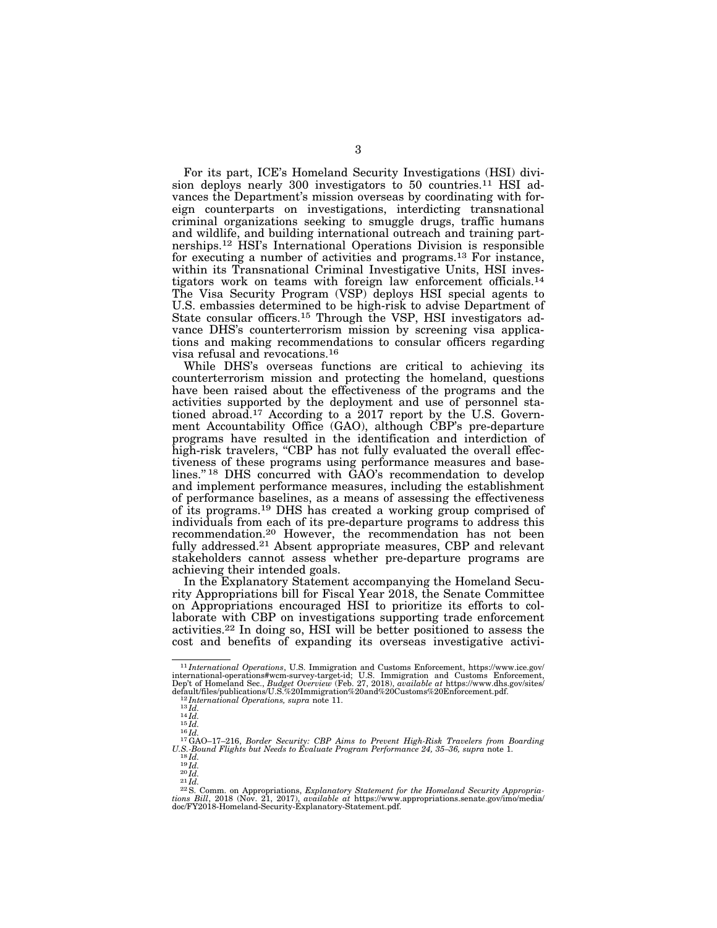For its part, ICE's Homeland Security Investigations (HSI) division deploys nearly 300 investigators to 50 countries.<sup>11</sup> HSI advances the Department's mission overseas by coordinating with foreign counterparts on investigations, interdicting transnational criminal organizations seeking to smuggle drugs, traffic humans and wildlife, and building international outreach and training partnerships.12 HSI's International Operations Division is responsible for executing a number of activities and programs.<sup>13</sup> For instance, within its Transnational Criminal Investigative Units, HSI investigators work on teams with foreign law enforcement officials.14 The Visa Security Program (VSP) deploys HSI special agents to U.S. embassies determined to be high-risk to advise Department of State consular officers.15 Through the VSP, HSI investigators advance DHS's counterterrorism mission by screening visa applications and making recommendations to consular officers regarding visa refusal and revocations.16

While DHS's overseas functions are critical to achieving its counterterrorism mission and protecting the homeland, questions have been raised about the effectiveness of the programs and the activities supported by the deployment and use of personnel stationed abroad.17 According to a 2017 report by the U.S. Government Accountability Office (GAO), although CBP's pre-departure programs have resulted in the identification and interdiction of high-risk travelers, "CBP has not fully evaluated the overall effectiveness of these programs using performance measures and baselines." <sup>18</sup> DHS concurred with  $\tilde{G}AO$ 's recommendation to develop and implement performance measures, including the establishment of performance baselines, as a means of assessing the effectiveness of its programs.19 DHS has created a working group comprised of individuals from each of its pre-departure programs to address this recommendation.20 However, the recommendation has not been fully addressed.<sup>21</sup> Absent appropriate measures, CBP and relevant stakeholders cannot assess whether pre-departure programs are achieving their intended goals.

In the Explanatory Statement accompanying the Homeland Security Appropriations bill for Fiscal Year 2018, the Senate Committee on Appropriations encouraged HSI to prioritize its efforts to collaborate with CBP on investigations supporting trade enforcement activities.22 In doing so, HSI will be better positioned to assess the cost and benefits of expanding its overseas investigative activi-

<sup>11</sup> *International Operations*, U.S. Immigration and Customs Enforcement, https://www.ice.gov/ international-operations#wcm-survey-target-id; U.S. Immigration and Customs Enforcement, Dep't of Homeland Sec., *Budget Overview* (Feb. 27, 2018), *available at* https://www.dhs.gov/sites/

default/files/publications/U.S.%20Immigration%20and%20Customs%20Enforcement.pdf. 12 *International Operations, supra* note 11. 13 *Id.* <sup>14</sup> *Id.* <sup>15</sup> *Id.* <sup>16</sup> *Id.* 17GAO–17–216, *Border Security: CBP Aims to Prevent High-Risk Travelers from Boarding* 

U.S. Bound Flights but Needs to Evaluate Program Performance 24, 35–36, supra note 1.<br>  $^{18}$ Id.<br>  $^{19}$ Id.<br>  $^{20}$ Id.<br>  $^{21}$ Id.<br>  $^{22}$ S. Comm. on Appropriations, Explanatory Statement for the Homeland Security Appropri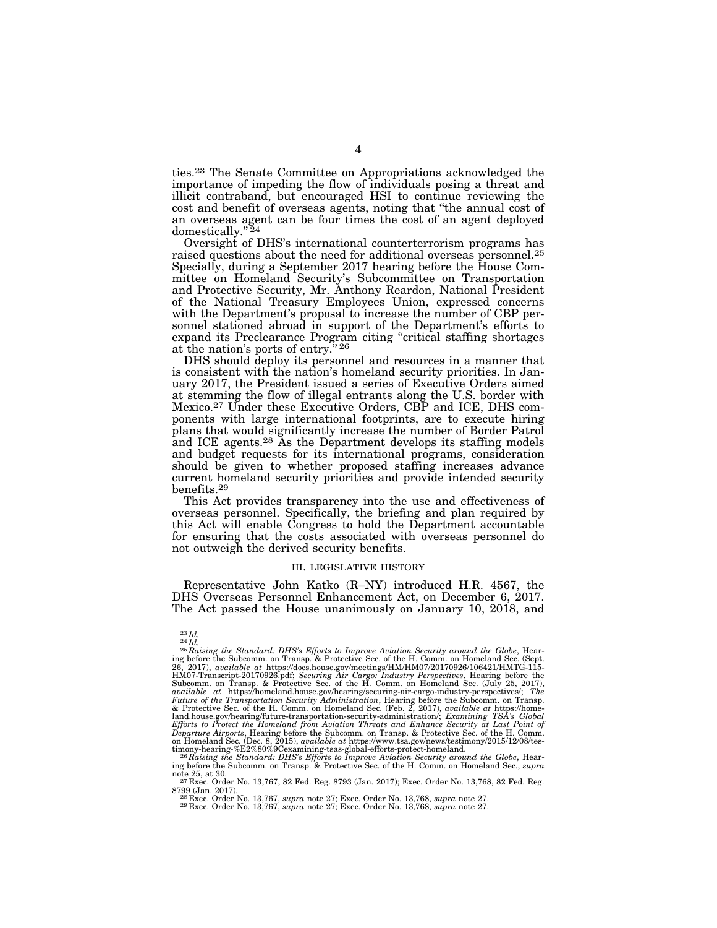ties.23 The Senate Committee on Appropriations acknowledged the importance of impeding the flow of individuals posing a threat and illicit contraband, but encouraged HSI to continue reviewing the cost and benefit of overseas agents, noting that ''the annual cost of an overseas agent can be four times the cost of an agent deployed domestically.'' 24

Oversight of DHS's international counterterrorism programs has raised questions about the need for additional overseas personnel.25 Specially, during a September 2017 hearing before the House Committee on Homeland Security's Subcommittee on Transportation and Protective Security, Mr. Anthony Reardon, National President of the National Treasury Employees Union, expressed concerns with the Department's proposal to increase the number of CBP personnel stationed abroad in support of the Department's efforts to expand its Preclearance Program citing "critical staffing shortages at the nation's ports of entry.'' 26

DHS should deploy its personnel and resources in a manner that is consistent with the nation's homeland security priorities. In January 2017, the President issued a series of Executive Orders aimed at stemming the flow of illegal entrants along the U.S. border with Mexico.27 Under these Executive Orders, CBP and ICE, DHS components with large international footprints, are to execute hiring plans that would significantly increase the number of Border Patrol and ICE agents.<sup>28</sup> As the Department develops its staffing models and budget requests for its international programs, consideration should be given to whether proposed staffing increases advance current homeland security priorities and provide intended security benefits.29

This Act provides transparency into the use and effectiveness of overseas personnel. Specifically, the briefing and plan required by this Act will enable Congress to hold the Department accountable for ensuring that the costs associated with overseas personnel do not outweigh the derived security benefits.

#### III. LEGISLATIVE HISTORY

Representative John Katko (R–NY) introduced H.R. 4567, the DHS Overseas Personnel Enhancement Act, on December 6, 2017. The Act passed the House unanimously on January 10, 2018, and

<sup>&</sup>lt;sup>23</sup> *Id.*<br><sup>25</sup> *Raising the Standard: DHS's Efforts to Improve Aviation Security around the Globe*, Hear-<br>ing before the Subcomm. on Transp. & Protective Sec. of the H. Comm. on Homeland Sec. (Sept. 26, 2017), available at https://docs.house.gov/meetings/HM/HM07/20170926/106421/HMTG-115-<br>HM07-Transcript-20170926.pdf; *Securing Air Cargo: Industry Perspectives*, Hearing before the<br>Subcomm. on Transp. & Protective Sec. available at https://homeland.house.gov/hearing/securing-air-cargo-industry-perspectives/; *The*<br>Future of the Transportation Security Administration, Hearing before the Subcomm. on Transp.<br>& Protective Sec. of the H. Comm land.house.gov/hearing/future-transportation-security-administration/; *Examining TSA's Global*<br>Efforts to Protect the Homeland from Aviation Threats and Enhance Security at Last Point of<br>Departure Airports, Hearing before on Homeland Sec. (Dec. 8, 2015), available at https://www.tsa.gov/news/testimony/2015/12/08/tes-<br>timony-hearing-%E2%80%9Cexamining-tsas-global-efforts-protect-homeland.<br><sup>26</sup> Raising *the Standard: DHS's Efforts to Improve* 

ing before the Subcomm. on Transp. & Protective Sec. of the H. Comm. on Homeland Sec., *supra* 

 $27$  Exec. Order No. 13,767, 82 Fed. Reg. 8793 (Jan. 2017); Exec. Order No. 13,768, 82 Fed. Reg. 8799 (Jan. 2017). 28 Exec. Order No. 13,767, *supra* note 27; Exec. Order No. 13,768, *supra* note 27. 29 Exec. Order No. 13,767, *supra* note 27; Exec. Order No. 13,768, *supra* note 27.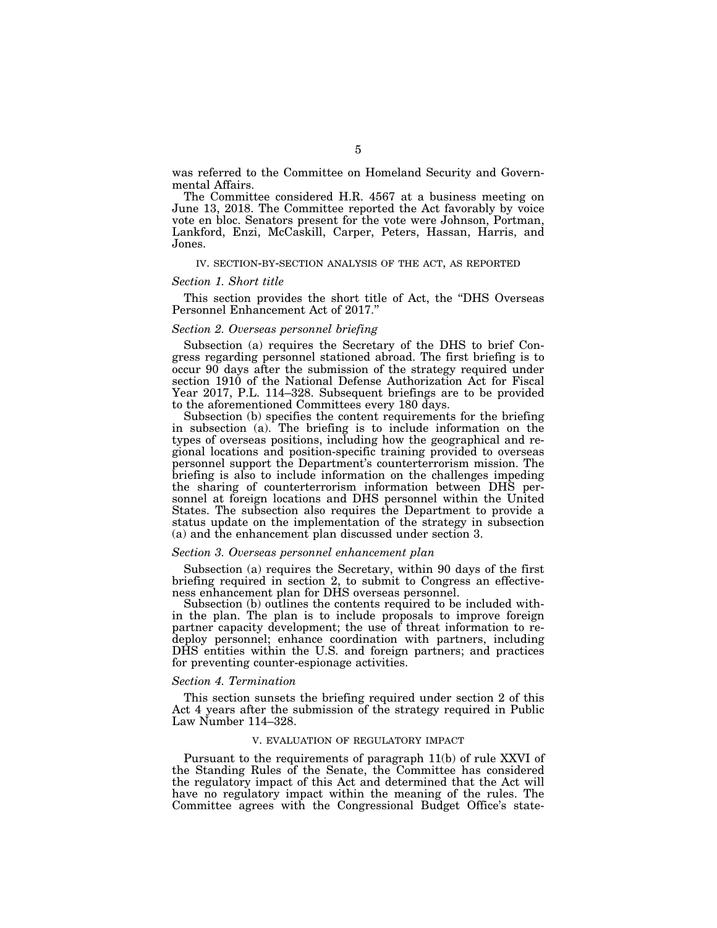was referred to the Committee on Homeland Security and Governmental Affairs.

The Committee considered H.R. 4567 at a business meeting on June 13, 2018. The Committee reported the Act favorably by voice vote en bloc. Senators present for the vote were Johnson, Portman, Lankford, Enzi, McCaskill, Carper, Peters, Hassan, Harris, and Jones.

### IV. SECTION-BY-SECTION ANALYSIS OF THE ACT, AS REPORTED

#### *Section 1. Short title*

This section provides the short title of Act, the ''DHS Overseas Personnel Enhancement Act of 2017.''

#### *Section 2. Overseas personnel briefing*

Subsection (a) requires the Secretary of the DHS to brief Congress regarding personnel stationed abroad. The first briefing is to occur 90 days after the submission of the strategy required under section 1910 of the National Defense Authorization Act for Fiscal Year 2017, P.L. 114–328. Subsequent briefings are to be provided to the aforementioned Committees every 180 days.

Subsection (b) specifies the content requirements for the briefing in subsection (a). The briefing is to include information on the types of overseas positions, including how the geographical and regional locations and position-specific training provided to overseas personnel support the Department's counterterrorism mission. The briefing is also to include information on the challenges impeding the sharing of counterterrorism information between DHS personnel at foreign locations and DHS personnel within the United States. The subsection also requires the Department to provide a status update on the implementation of the strategy in subsection (a) and the enhancement plan discussed under section 3.

## *Section 3. Overseas personnel enhancement plan*

Subsection (a) requires the Secretary, within 90 days of the first briefing required in section 2, to submit to Congress an effectiveness enhancement plan for DHS overseas personnel.

Subsection (b) outlines the contents required to be included within the plan. The plan is to include proposals to improve foreign partner capacity development; the use of threat information to redeploy personnel; enhance coordination with partners, including DHS entities within the U.S. and foreign partners; and practices for preventing counter-espionage activities.

#### *Section 4. Termination*

This section sunsets the briefing required under section 2 of this Act 4 years after the submission of the strategy required in Public Law Number 114–328.

#### V. EVALUATION OF REGULATORY IMPACT

Pursuant to the requirements of paragraph 11(b) of rule XXVI of the Standing Rules of the Senate, the Committee has considered the regulatory impact of this Act and determined that the Act will have no regulatory impact within the meaning of the rules. The Committee agrees with the Congressional Budget Office's state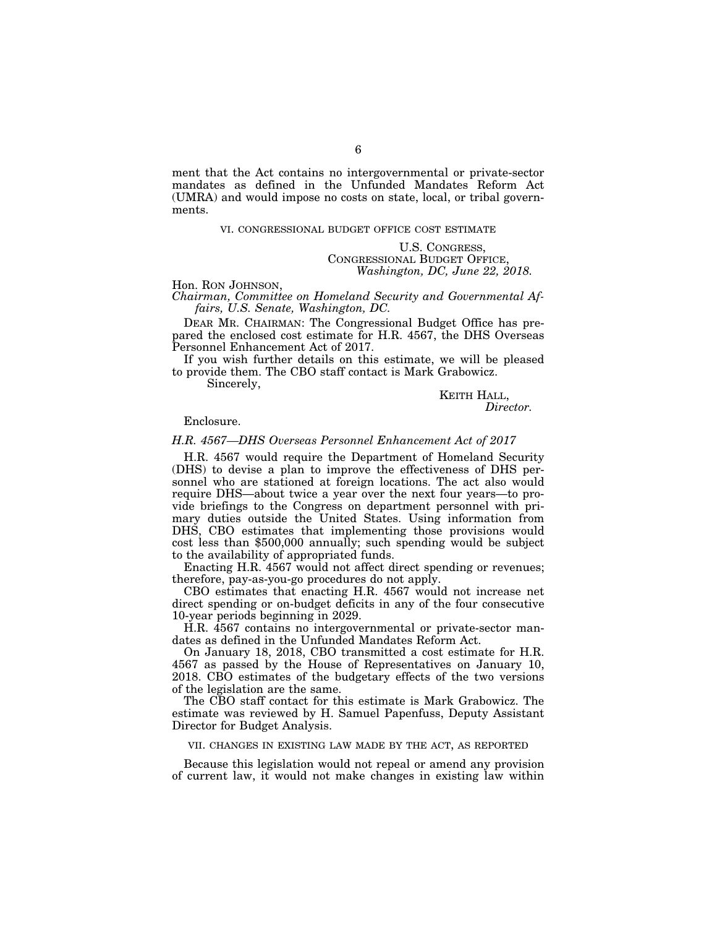ment that the Act contains no intergovernmental or private-sector mandates as defined in the Unfunded Mandates Reform Act (UMRA) and would impose no costs on state, local, or tribal governments.

#### VI. CONGRESSIONAL BUDGET OFFICE COST ESTIMATE

### U.S. CONGRESS, CONGRESSIONAL BUDGET OFFICE, *Washington, DC, June 22, 2018.*

Hon. RON JOHNSON, *Chairman, Committee on Homeland Security and Governmental Affairs, U.S. Senate, Washington, DC.* 

DEAR MR. CHAIRMAN: The Congressional Budget Office has prepared the enclosed cost estimate for H.R. 4567, the DHS Overseas Personnel Enhancement Act of 2017.

If you wish further details on this estimate, we will be pleased to provide them. The CBO staff contact is Mark Grabowicz.

Sincerely,

KEITH HALL, *Director.* 

Enclosure.

#### *H.R. 4567—DHS Overseas Personnel Enhancement Act of 2017*

H.R. 4567 would require the Department of Homeland Security (DHS) to devise a plan to improve the effectiveness of DHS personnel who are stationed at foreign locations. The act also would require DHS—about twice a year over the next four years—to provide briefings to the Congress on department personnel with primary duties outside the United States. Using information from DHS, CBO estimates that implementing those provisions would cost less than \$500,000 annually; such spending would be subject to the availability of appropriated funds.

Enacting H.R. 4567 would not affect direct spending or revenues; therefore, pay-as-you-go procedures do not apply.

CBO estimates that enacting H.R. 4567 would not increase net direct spending or on-budget deficits in any of the four consecutive 10-year periods beginning in 2029.

H.R. 4567 contains no intergovernmental or private-sector mandates as defined in the Unfunded Mandates Reform Act.

On January 18, 2018, CBO transmitted a cost estimate for H.R. 4567 as passed by the House of Representatives on January 10, 2018. CBO estimates of the budgetary effects of the two versions of the legislation are the same.

The CBO staff contact for this estimate is Mark Grabowicz. The estimate was reviewed by H. Samuel Papenfuss, Deputy Assistant Director for Budget Analysis.

#### VII. CHANGES IN EXISTING LAW MADE BY THE ACT, AS REPORTED

Because this legislation would not repeal or amend any provision of current law, it would not make changes in existing law within